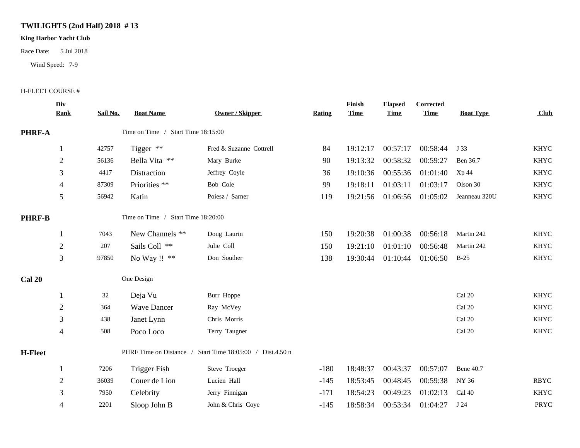## **TWILIGHTS (2nd Half) 2018 # 13**

## **King Harbor Yacht Club**

Race Date: 5 Jul 2018

Wind Speed: 7-9

## H-FLEET COURSE #

|               | Div<br>Rank    | Sail No.                                                  | <b>Boat Name</b>                   | <b>Owner / Skipper</b>  | <b>Rating</b> | Finish<br><b>Time</b> | <b>Elapsed</b><br><b>Time</b> | Corrected<br><b>Time</b> | <b>Boat Type</b>        | Club        |  |
|---------------|----------------|-----------------------------------------------------------|------------------------------------|-------------------------|---------------|-----------------------|-------------------------------|--------------------------|-------------------------|-------------|--|
| PHRF-A        |                |                                                           | Time on Time / Start Time 18:15:00 |                         |               |                       |                               |                          |                         |             |  |
|               |                | 42757                                                     | Tigger **                          | Fred & Suzanne Cottrell | 84            | 19:12:17              | 00:57:17                      | 00:58:44                 | J 33                    | <b>KHYC</b> |  |
|               | $\overline{2}$ | 56136                                                     | Bella Vita **                      | Mary Burke              | 90            | 19:13:32              | 00:58:32                      | 00:59:27                 | Ben 36.7                | <b>KHYC</b> |  |
|               | 3              | 4417                                                      | Distraction                        | Jeffrey Coyle           | 36            | 19:10:36              | 00:55:36                      | 01:01:40                 | Xp 44                   | <b>KHYC</b> |  |
|               | $\overline{4}$ | 87309                                                     | Priorities **                      | Bob Cole                | 99            | 19:18:11              | 01:03:11                      | 01:03:17                 | Olson 30                | <b>KHYC</b> |  |
|               | 5              | 56942                                                     | Katin                              | Poiesz / Sarner         | 119           | 19:21:56              | 01:06:56                      | 01:05:02                 | Jeanneau 320U           | <b>KHYC</b> |  |
| <b>PHRF-B</b> |                | Time on Time / Start Time 18:20:00                        |                                    |                         |               |                       |                               |                          |                         |             |  |
|               |                | 7043                                                      | New Channels **                    | Doug Laurin             | 150           | 19:20:38              | 01:00:38                      | 00:56:18                 | Martin 242              | <b>KHYC</b> |  |
|               | $\overline{2}$ | 207                                                       | Sails Coll **                      | Julie Coll              | 150           | 19:21:10              | 01:01:10                      | 00:56:48                 | Martin 242              | <b>KHYC</b> |  |
|               | 3              | 97850                                                     | No Way !! **                       | Don Souther             | 138           | 19:30:44              | 01:10:44                      | 01:06:50                 | $B-25$                  | <b>KHYC</b> |  |
| Cal 20        |                |                                                           | One Design                         |                         |               |                       |                               |                          |                         |             |  |
|               |                | 32                                                        | Deja Vu                            | Burr Hoppe              |               |                       |                               |                          | Cal 20                  | <b>KHYC</b> |  |
|               | $\sqrt{2}$     | 364                                                       | <b>Wave Dancer</b>                 | Ray McVey               |               |                       |                               |                          | Cal 20                  | <b>KHYC</b> |  |
|               | 3              | 438                                                       | Janet Lynn                         | Chris Morris            |               |                       |                               |                          | Cal 20                  | <b>KHYC</b> |  |
|               | $\overline{4}$ | 508                                                       | Poco Loco                          | Terry Taugner           |               |                       |                               |                          | $\operatorname{Cal}$ 20 | <b>KHYC</b> |  |
| H-Fleet       |                | PHRF Time on Distance / Start Time 18:05:00 / Dist.4.50 n |                                    |                         |               |                       |                               |                          |                         |             |  |
|               |                | 7206                                                      | Trigger Fish                       | Steve Troeger           | $-180$        | 18:48:37              | 00:43:37                      | 00:57:07                 | <b>Bene 40.7</b>        |             |  |
|               | $\overline{2}$ | 36039                                                     | Couer de Lion                      | Lucien Hall             | $-145$        | 18:53:45              | 00:48:45                      | 00:59:38                 | NY 36                   | <b>RBYC</b> |  |
|               | 3              | 7950                                                      | Celebrity                          | Jerry Finnigan          | $-171$        | 18:54:23              | 00:49:23                      | 01:02:13                 | Cal 40                  | <b>KHYC</b> |  |
|               | 4              | 2201                                                      | Sloop John B                       | John & Chris Coye       | $-145$        | 18:58:34              | 00:53:34                      | 01:04:27                 | J 24                    | PRYC        |  |
|               |                |                                                           |                                    |                         |               |                       |                               |                          |                         |             |  |